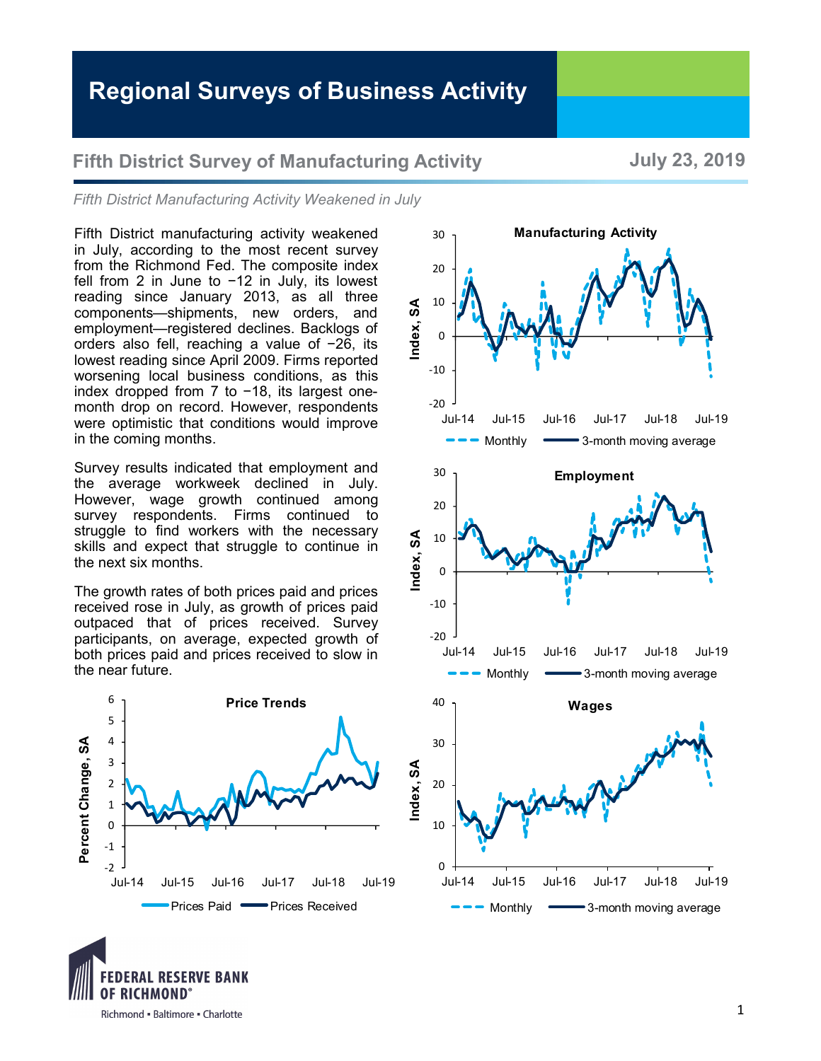## **Regional Surveys of Business Activity**

## **Fifth District Survey of Manufacturing Activity The State Survey State Survey of Manufacturing Activity**

*Fifth District Manufacturing Activity Weakened in July*

Fifth District manufacturing activity weakened in July, according to the most recent survey from the Richmond Fed. The composite index fell from 2 in June to −12 in July, its lowest reading since January 2013, as all three components—shipments, new orders, and employment—registered declines. Backlogs of orders also fell, reaching a value of −26, its lowest reading since April 2009. Firms reported worsening local business conditions, as this index dropped from 7 to −18, its largest onemonth drop on record. However, respondents were optimistic that conditions would improve in the coming months.

Survey results indicated that employment and the average workweek declined in July. However, wage growth continued among survey respondents. Firms continued to struggle to find workers with the necessary skills and expect that struggle to continue in the next six months.

The growth rates of both prices paid and prices received rose in July, as growth of prices paid outpaced that of prices received. Survey participants, on average, expected growth of both prices paid and prices received to slow in the near future.